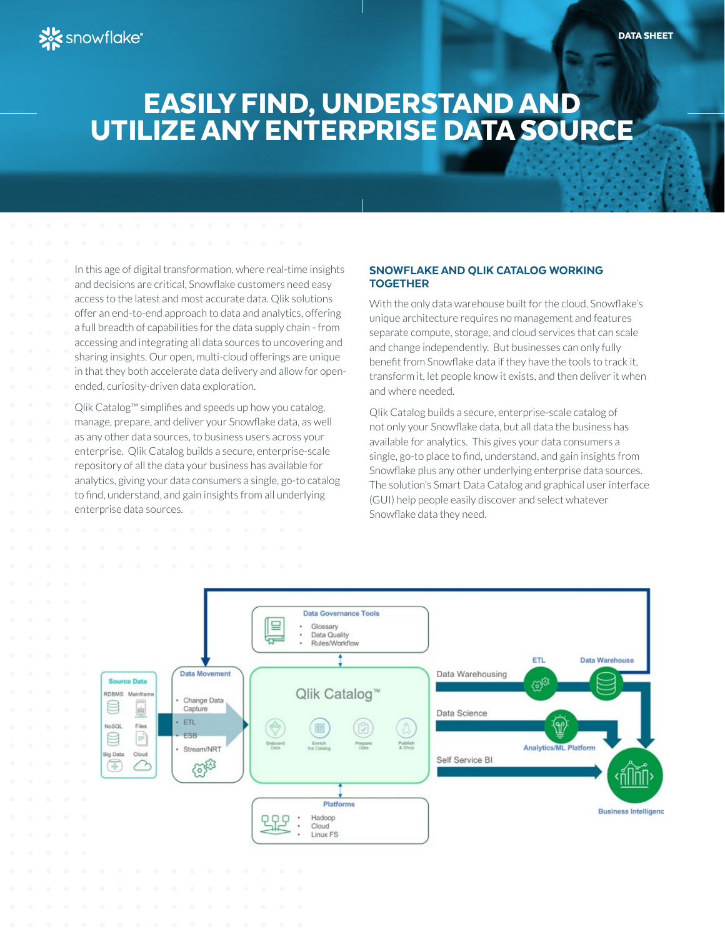# EASILY FIND, UNDERSTAND AND UTILIZE ANY ENTERPRISE DATA SOURCE

In this age of digital transformation, where real-time insights and decisions are critical, Snowflake customers need easy access to the latest and most accurate data. Qlik solutions offer an end-to-end approach to data and analytics, offering a full breadth of capabilities for the data supply chain - from accessing and integrating all data sources to uncovering and sharing insights. Our open, multi-cloud offerings are unique in that they both accelerate data delivery and allow for openended, curiosity-driven data exploration.

Qlik Catalog™ simplifies and speeds up how you catalog, manage, prepare, and deliver your Snowflake data, as well as any other data sources, to business users across your enterprise. Qlik Catalog builds a secure, enterprise-scale repository of all the data your business has available for analytics, giving your data consumers a single, go-to catalog to find, understand, and gain insights from all underlying enterprise data sources.

### SNOWFLAKE AND QLIK CATALOG WORKING TOGETHER

With the only data warehouse built for the cloud, Snowflake's unique architecture requires no management and features separate compute, storage, and cloud services that can scale and change independently. But businesses can only fully benefit from Snowflake data if they have the tools to track it, transform it, let people know it exists, and then deliver it when and where needed.

Qlik Catalog builds a secure, enterprise-scale catalog of not only your Snowflake data, but all data the business has available for analytics. This gives your data consumers a single, go-to place to find, understand, and gain insights from Snowflake plus any other underlying enterprise data sources. The solution's Smart Data Catalog and graphical user interface (GUI) help people easily discover and select whatever Snowflake data they need.